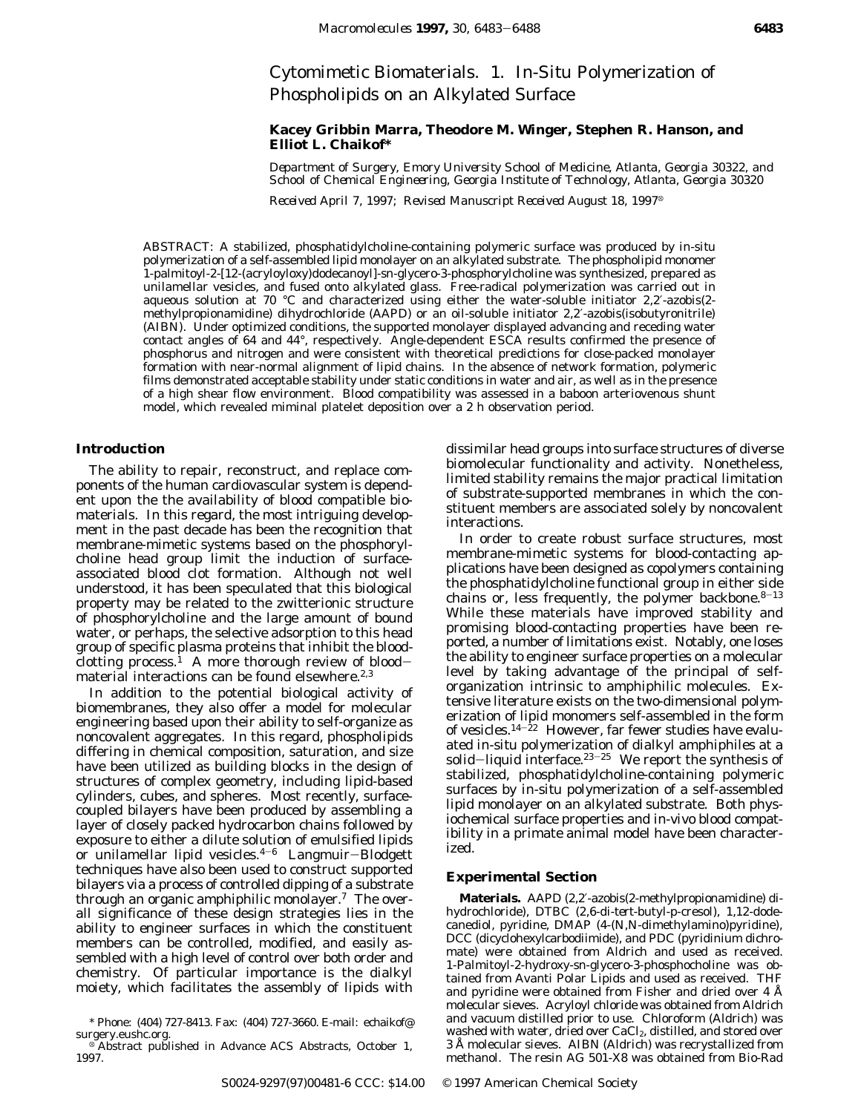# Cytomimetic Biomaterials. 1. *In-Situ* Polymerization of Phospholipids on an Alkylated Surface

# **Kacey Gribbin Marra, Theodore M. Winger, Stephen R. Hanson, and Elliot L. Chaikof\***

*Department of Surgery, Emory University School of Medicine, Atlanta, Georgia 30322, and School of Chemical Engineering, Georgia Institute of Technology, Atlanta, Georgia 30320*

*Received April 7, 1997; Revised Manuscript Received August 18, 1997*<sup>®</sup>

ABSTRACT: A stabilized, phosphatidylcholine-containing polymeric surface was produced by *in-situ* polymerization of a self-assembled lipid monolayer on an alkylated substrate. The phospholipid monomer 1-palmitoyl-2-[12-(acryloyloxy)dodecanoyl]-*sn*-glycero-3-phosphorylcholine was synthesized, prepared as unilamellar vesicles, and fused onto alkylated glass. Free-radical polymerization was carried out in aqueous solution at 70 °C and characterized using either the water-soluble initiator 2,2′-azobis(2 methylpropionamidine) dihydrochloride (AAPD) or an oil-soluble initiator 2,2′-azobis(isobutyronitrile) (AIBN). Under optimized conditions, the supported monolayer displayed advancing and receding water contact angles of 64 and 44°, respectively. Angle-dependent ESCA results confirmed the presence of phosphorus and nitrogen and were consistent with theoretical predictions for close-packed monolayer formation with near-normal alignment of lipid chains. In the absence of network formation, polymeric films demonstrated acceptable stability under static conditions in water and air, as well as in the presence of a high shear flow environment. Blood compatibility was assessed in a baboon arteriovenous shunt model, which revealed miminal platelet deposition over a 2 h observation period.

# **Introduction**

The ability to repair, reconstruct, and replace components of the human cardiovascular system is dependent upon the the availability of blood compatible biomaterials. In this regard, the most intriguing development in the past decade has been the recognition that membrane-mimetic systems based on the phosphorylcholine head group limit the induction of surfaceassociated blood clot formation. Although not well understood, it has been speculated that this biological property may be related to the zwitterionic structure of phosphorylcholine and the large amount of bound water, or perhaps, the selective adsorption to this head group of specific plasma proteins that inhibit the bloodclotting process.<sup>1</sup> A more thorough review of bloodmaterial interactions can be found elsewhere.<sup>2,3</sup>

In addition to the potential biological activity of biomembranes, they also offer a model for molecular engineering based upon their ability to self-organize as noncovalent aggregates. In this regard, phospholipids differing in chemical composition, saturation, and size have been utilized as building blocks in the design of structures of complex geometry, including lipid-based cylinders, cubes, and spheres. Most recently, surfacecoupled bilayers have been produced by assembling a layer of closely packed hydrocarbon chains followed by exposure to either a dilute solution of emulsified lipids or unilamellar lipid vesicles.4-<sup>6</sup> Langmuir-Blodgett techniques have also been used to construct supported bilayers via a process of controlled dipping of a substrate through an organic amphiphilic monolayer.<sup>7</sup> The overall significance of these design strategies lies in the ability to engineer surfaces in which the constituent members can be controlled, modified, and easily assembled with a high level of control over both order and chemistry. Of particular importance is the dialkyl moiety, which facilitates the assembly of lipids with

dissimilar head groups into surface structures of diverse biomolecular functionality and activity. Nonetheless, limited stability remains the major practical limitation of substrate-supported membranes in which the constituent members are associated solely by noncovalent interactions.

In order to create robust surface structures, most membrane-mimetic systems for blood-contacting applications have been designed as copolymers containing the phosphatidylcholine functional group in either side chains or, less frequently, the polymer backbone. $8-13$ While these materials have improved stability and promising blood-contacting properties have been reported, a number of limitations exist. Notably, one loses the ability to engineer surface properties on a molecular level by taking advantage of the principal of selforganization intrinsic to amphiphilic molecules. Extensive literature exists on the two-dimensional polymerization of lipid monomers self-assembled in the form of vesicles.<sup>14-22</sup> However, far fewer studies have evaluated *in-situ* polymerization of dialkyl amphiphiles at a solid-liquid interface. $23-25$  We report the synthesis of stabilized, phosphatidylcholine-containing polymeric surfaces by *in-situ* polymerization of a self-assembled lipid monolayer on an alkylated substrate. Both physiochemical surface properties and *in*-*vivo* blood compatibility in a primate animal model have been characterized.

#### **Experimental Section**

**Materials.** AAPD (2,2′-azobis(2-methylpropionamidine) dihydrochloride), DTBC (2,6-di-*tert*-butyl-*p*-cresol), 1,12-dodecanediol, pyridine, DMAP (4-(*N,N*-dimethylamino)pyridine), DCC (dicyclohexylcarbodiimide), and PDC (pyridinium dichromate) were obtained from Aldrich and used as received. 1-Palmitoyl-2-hydroxy-*sn*-glycero-3-phosphocholine was obtained from Avanti Polar Lipids and used as received. THF and pyridine were obtained from Fisher and dried over 4 Å molecular sieves. Acryloyl chloride was obtained from Aldrich and vacuum distilled prior to use. Chloroform (Aldrich) was washed with water, dried over CaCl<sub>2</sub>, distilled, and stored over 3 Å molecular sieves. AIBN (Aldrich) was recrystallized from methanol. The resin AG 501-X8 was obtained from Bio-Rad

<sup>\*</sup> Phone: (404) 727-8413. Fax: (404) 727-3660. E-mail: echaikof@

Abstract published in *Advance ACS Abstracts*, October 1, 1997.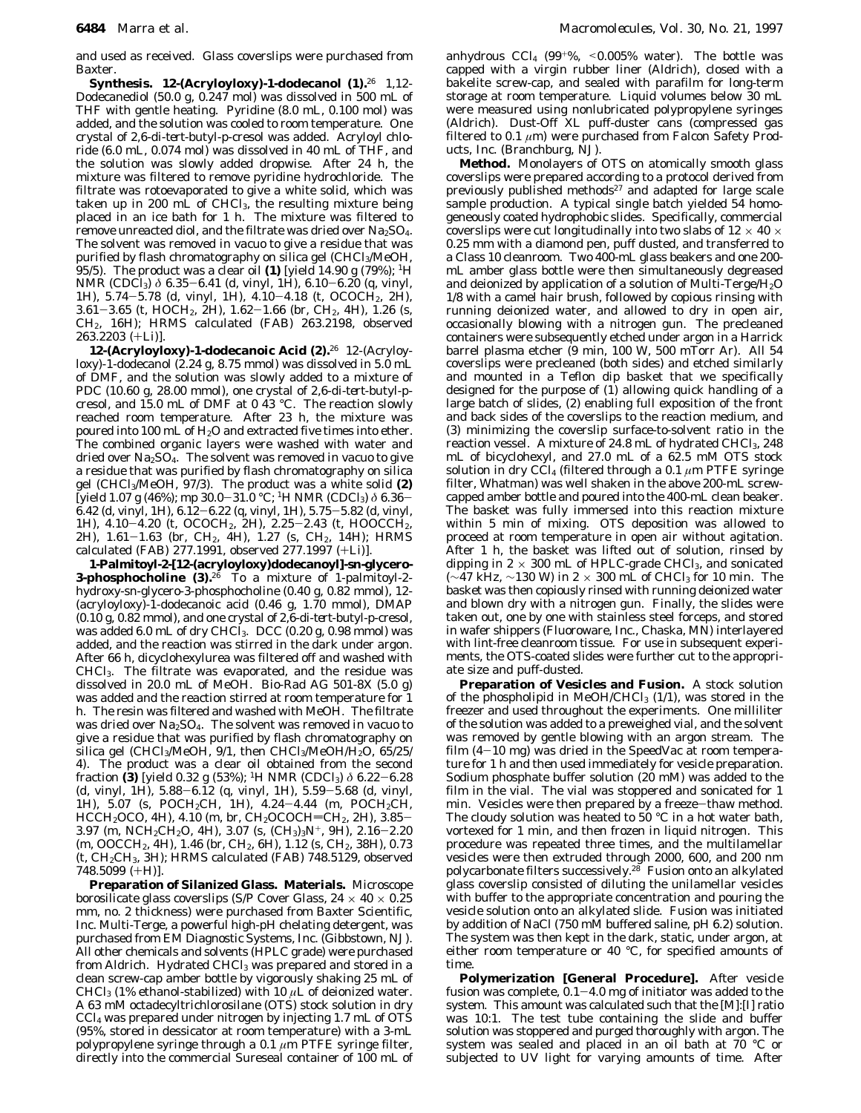and used as received. Glass coverslips were purchased from Baxter.

**Synthesis. 12-(Acryloyloxy)-1-dodecanol (1).**<sup>26</sup> 1,12- Dodecanediol (50.0 g, 0.247 mol) was dissolved in 500 mL of THF with gentle heating. Pyridine (8.0 mL, 0.100 mol) was added, and the solution was cooled to room temperature. One crystal of 2,6-di-*tert*-butyl-*p*-cresol was added. Acryloyl chloride (6.0 mL, 0.074 mol) was dissolved in 40 mL of THF, and the solution was slowly added dropwise. After 24 h, the mixture was filtered to remove pyridine hydrochloride. The filtrate was rotoevaporated to give a white solid, which was taken up in 200 mL of CHCl3, the resulting mixture being placed in an ice bath for 1 h. The mixture was filtered to remove unreacted diol, and the filtrate was dried over  $Na<sub>2</sub>SO<sub>4</sub>$ . The solvent was removed *in vacuo* to give a residue that was purified by flash chromatography on silica gel (CHCl3/MeOH, 95/5). The product was a clear oil **(1)** [yield 14.90 g (79%); 1H NMR (CDCl3) *δ* 6.35-6.41 (d, vinyl, 1H), 6.10-6.20 (q, vinyl, 1H), 5.74-5.78 (d, vinyl, 1H), 4.10-4.18 (t, OCOC*H2*, 2H), 3.61-3.65 (t, HOC*H2*, 2H), 1.62-1.66 (br, CH2, 4H), 1.26 (s, CH2, 16H); HRMS calculated (FAB) 263.2198, observed 263.2203 (+Li)].

**12-(Acryloyloxy)-1-dodecanoic Acid (2).**<sup>26</sup> 12-(Acryloyloxy)-1-dodecanol (2.24 g, 8.75 mmol) was dissolved in 5.0 mL of DMF, and the solution was slowly added to a mixture of PDC (10.60 g, 28.00 mmol), one crystal of 2,6-di-*tert*-butyl-*p*cresol, and 15.0 mL of DMF at 0 43 °C. The reaction slowly reached room temperature. After 23 h, the mixture was poured into 100 mL of  $H<sub>2</sub>O$  and extracted five times into ether. The combined organic layers were washed with water and dried over Na2SO4. The solvent was removed *in vacuo* to give a residue that was purified by flash chromatography on silica gel (CHCl3/MeOH, 97/3). The product was a white solid **(2)** [yield 1.07 g (46%); mp 30.0-31.0 °C; 1H NMR (CDCl3) *δ* 6.36-  $6.42$  (d, vinyl, 1H),  $6.12 - 6.22$  (q, vinyl, 1H),  $5.75 - 5.82$  (d, vinyl, 1H), 4.10-4.20 (t, OCOC*H2*, 2H), 2.25-2.43 (t, HOOCC*H2*, 2H), 1.61-1.63 (br, CH2, 4H), 1.27 (s, CH2, 14H); HRMS calculated (FAB) 277.1991, observed 277.1997 (+Li)].

**1-Palmitoyl-2-[12-(acryloyloxy)dodecanoyl]-***sn***-glycero-3-phosphocholine (3).**<sup>26</sup> To a mixture of 1-palmitoyl-2 hydroxy-*sn*-glycero-3-phosphocholine (0.40 g, 0.82 mmol), 12- (acryloyloxy)-1-dodecanoic acid (0.46 g, 1.70 mmol), DMAP (0.10 g, 0.82 mmol), and one crystal of 2,6-di-*tert*-butyl-*p*-cresol, was added 6.0 mL of dry CHCl<sub>3</sub>. DCC (0.20 g, 0.98 mmol) was added, and the reaction was stirred in the dark under argon. After 66 h, dicyclohexylurea was filtered off and washed with CHCl3. The filtrate was evaporated, and the residue was dissolved in 20.0 mL of MeOH. Bio-Rad AG 501-8X (5.0 g) was added and the reaction stirred at room temperature for 1 h. The resin was filtered and washed with MeOH. The filtrate was dried over Na2SO4. The solvent was removed *in vacuo* to give a residue that was purified by flash chromatography on silica gel (CHCl<sub>3</sub>/MeOH, 9/1, then CHCl<sub>3</sub>/MeOH/H<sub>2</sub>O, 65/25/ 4). The product was a clear oil obtained from the second fraction **(3)** [yield 0.32 g (53%); 1H NMR (CDCl3) *δ* 6.22-6.28 (d, vinyl, 1H), 5.88-6.12 (q, vinyl, 1H), 5.59-5.68 (d, vinyl, 1H), 5.07 (s, POCH2C*H*, 1H), 4.24-4.44 (m, POC*H2*CH, HCCH<sub>2</sub>OCO, 4H), 4.10 (m, br, CH<sub>2</sub>OCOCH=CH<sub>2</sub>, 2H), 3.85-3.97 (m, NC*H2*C*H2*O, 4H), 3.07 (s, (C*H3*)3N<sup>+</sup>, 9H), 2.16-2.20 (m, OOCCH<sub>2</sub>, 4H), 1.46 (br, CH<sub>2</sub>, 6H), 1.12 (s, CH<sub>2</sub>, 38H), 0.73 (t, CH2C*H3*, 3H); HRMS calculated (FAB) 748.5129, observed 748.5099 (+H)].

**Preparation of Silanized Glass. Materials.** Microscope borosilicate glass coverslips (S/P Cover Glass,  $24 \times 40 \times 0.25$ mm, no. 2 thickness) were purchased from Baxter Scientific, Inc. Multi-Terge, a powerful high-pH chelating detergent, was purchased from EM Diagnostic Systems, Inc. (Gibbstown, NJ). All other chemicals and solvents (HPLC grade) were purchased from Aldrich. Hydrated CHCl<sub>3</sub> was prepared and stored in a clean screw-cap amber bottle by vigorously shaking 25 mL of CHCl3 (1% ethanol-stabilized) with 10 *µ*L of deionized water. A 63 mM octadecyltrichlorosilane (OTS) stock solution in dry CCl4 was prepared under nitrogen by injecting 1.7 mL of OTS (95%, stored in dessicator at room temperature) with a 3-mL polypropylene syringe through a 0.1 *µ*m PTFE syringe filter, directly into the commercial Sureseal container of 100 mL of anhydrous  $CCl_4$  (99<sup>+%</sup>, <0.005% water). The bottle was capped with a virgin rubber liner (Aldrich), closed with a bakelite screw-cap, and sealed with parafilm for long-term storage at room temperature. Liquid volumes below 30 mL were measured using nonlubricated polypropylene syringes (Aldrich). Dust-Off XL puff-duster cans (compressed gas filtered to 0.1 *µ*m) were purchased from Falcon Safety Products, Inc. (Branchburg, NJ).

**Method.** Monolayers of OTS on atomically smooth glass coverslips were prepared according to a protocol derived from previously published methods<sup>27</sup> and adapted for large scale sample production. A typical single batch yielded 54 homogeneously coated hydrophobic slides. Specifically, commercial coverslips were cut longitudinally into two slabs of 12  $\times$  40  $\times$ 0.25 mm with a diamond pen, puff dusted, and transferred to a Class 10 cleanroom. Two 400-mL glass beakers and one 200 mL amber glass bottle were then simultaneously degreased and deionized by application of a solution of Multi-Terge/H2O 1/8 with a camel hair brush, followed by copious rinsing with running deionized water, and allowed to dry in open air, occasionally blowing with a nitrogen gun. The precleaned containers were subsequently etched under argon in a Harrick barrel plasma etcher (9 min, 100 W, 500 mTorr Ar). All 54 coverslips were precleaned (both sides) and etched similarly and mounted in a Teflon dip basket that we specifically designed for the purpose of  $(1)$  allowing quick handling of a large batch of slides, (2) enabling full exposition of the front and back sides of the coverslips to the reaction medium, and (3) minimizing the coverslip surface-to-solvent ratio in the reaction vessel. A mixture of 24.8 mL of hydrated CHCl<sub>3</sub>, 248 mL of bicyclohexyl, and 27.0 mL of a 62.5 mM OTS stock solution in dry CCl4 (filtered through a 0.1 *µ*m PTFE syringe filter, Whatman) was well shaken in the above 200-mL screwcapped amber bottle and poured into the 400-mL clean beaker. The basket was fully immersed into this reaction mixture within 5 min of mixing. OTS deposition was allowed to proceed at room temperature in open air without agitation. After 1 h, the basket was lifted out of solution, rinsed by dipping in  $2 \times 300$  mL of HPLC-grade CHCl<sub>3</sub>, and sonicated  $(\sim$ 47 kHz,  $\sim$ 130 W) in 2 × 300 mL of CHCl<sub>3</sub> for 10 min. The basket was then copiously rinsed with running deionized water and blown dry with a nitrogen gun. Finally, the slides were taken out, one by one with stainless steel forceps, and stored in wafer shippers (Fluoroware, Inc., Chaska, MN) interlayered with lint-free cleanroom tissue. For use in subsequent experiments, the OTS-coated slides were further cut to the appropriate size and puff-dusted.

**Preparation of Vesicles and Fusion.** A stock solution of the phospholipid in MeOH/CHCl<sub>3</sub>  $(1/1)$ , was stored in the freezer and used throughout the experiments. One milliliter of the solution was added to a preweighed vial, and the solvent was removed by gentle blowing with an argon stream. The film  $(4-10 \text{ mg})$  was dried in the SpeedVac at room temperature for 1 h and then used immediately for vesicle preparation. Sodium phosphate buffer solution (20 mM) was added to the film in the vial. The vial was stoppered and sonicated for 1 min. Vesicles were then prepared by a freeze-thaw method. The cloudy solution was heated to 50 °C in a hot water bath, vortexed for 1 min, and then frozen in liquid nitrogen. This procedure was repeated three times, and the multilamellar vesicles were then extruded through 2000, 600, and 200 nm polycarbonate filters successively.<sup>28</sup> Fusion onto an alkylated glass coverslip consisted of diluting the unilamellar vesicles with buffer to the appropriate concentration and pouring the vesicle solution onto an alkylated slide. Fusion was initiated by addition of NaCl (750 mM buffered saline, pH 6.2) solution. The system was then kept in the dark, static, under argon, at either room temperature or 40 °C, for specified amounts of time.

**Polymerization [General Procedure].** After vesicle fusion was complete,  $0.1-4.0$  mg of initiator was added to the system. This amount was calculated such that the [M]:[I] ratio was 10:1. The test tube containing the slide and buffer solution was stoppered and purged thoroughly with argon. The system was sealed and placed in an oil bath at 70 °C or subjected to UV light for varying amounts of time. After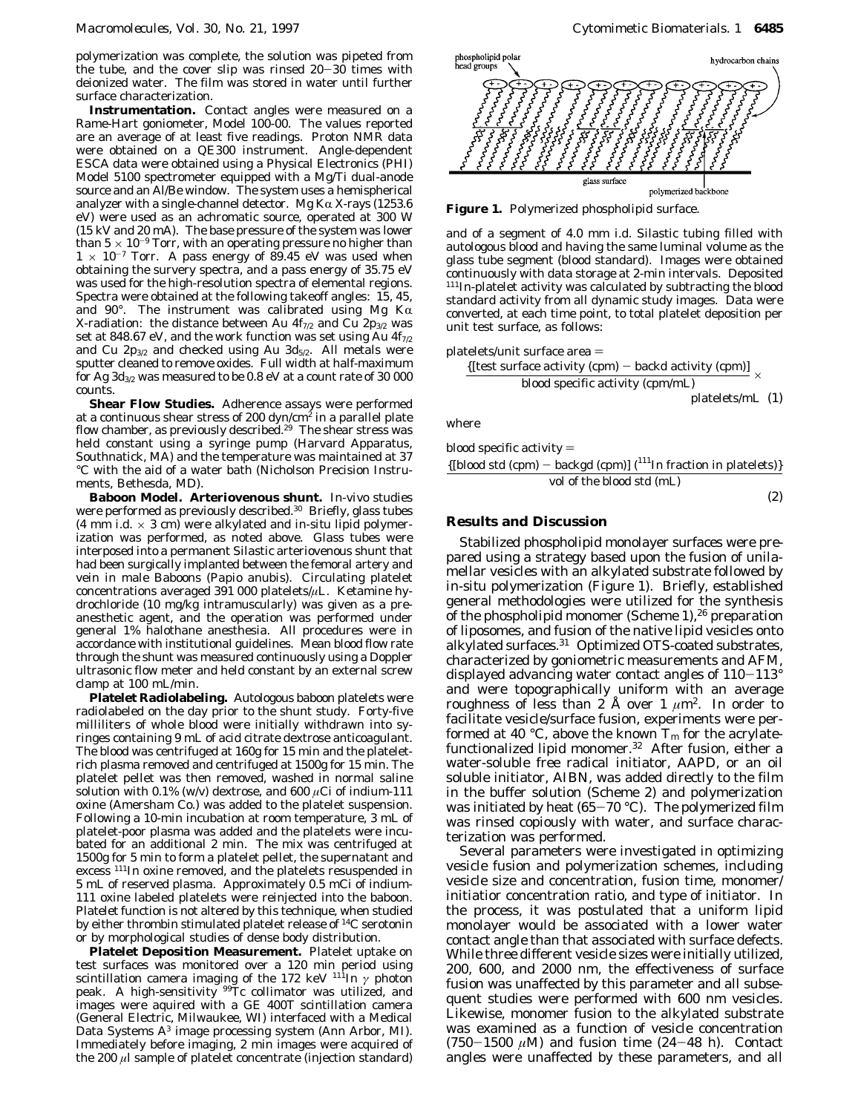polymerization was complete, the solution was pipeted from the tube, and the cover slip was rinsed 20-30 times with deionized water. The film was stored in water until further surface characterization.

**Instrumentation.** Contact angles were measured on a Rame-Hart goniometer, Model 100-00. The values reported are an average of at least five readings. Proton NMR data were obtained on a QE300 instrument. Angle-dependent ESCA data were obtained using a Physical Electronics (PHI) Model 5100 spectrometer equipped with a Mg/Ti dual-anode source and an Al/Be window. The system uses a hemispherical analyzer with a single-channel detector. Mg K $\alpha$  X-rays (1253.6) eV) were used as an achromatic source, operated at 300 W (15 kV and 20 mA). The base pressure of the system was lower than  $5 \times 10^{-9}$  Torr, with an operating pressure no higher than  $1 \times 10^{-7}$  Torr. A pass energy of 89.45 eV was used when obtaining the survery spectra, and a pass energy of 35.75 eV was used for the high-resolution spectra of elemental regions. Spectra were obtained at the following takeoff angles: 15, 45, and 90°. The instrument was calibrated using Mg  $K\alpha$ X-radiation: the distance between Au  $4f_{7/2}$  and Cu  $2p_{3/2}$  was set at 848.67 eV, and the work function was set using Au  $4f_{7/2}$ and Cu  $2p_{3/2}$  and checked using Au  $3d_{5/2}$ . All metals were sputter cleaned to remove oxides. Full width at half-maximum for Ag  $3d_{3/2}$  was measured to be 0.8 eV at a count rate of 30 000 counts.

**Shear Flow Studies.** Adherence assays were performed at a continuous shear stress of 200  $\frac{dyn}{cm^2}$  in a parallel plate flow chamber, as previously described.<sup>29</sup> The shear stress was held constant using a syringe pump (Harvard Apparatus, Southnatick, MA) and the temperature was maintained at 37 °C with the aid of a water bath (Nicholson Precision Instruments, Bethesda, MD).

**Baboon Model. Arteriovenous shunt.** *In*-*vivo* studies were performed as previously described.<sup>30</sup> Briefly, glass tubes (4 mm i.d. × 3 cm) were alkylated and *in-situ* lipid polymerization was performed, as noted above. Glass tubes were interposed into a permanent Silastic arteriovenous shunt that had been surgically implanted between the femoral artery and vein in male Baboons (*Papio anubis*). Circulating platelet concentrations averaged 391 000 platelets/*µ*L. Ketamine hydrochloride (10 mg/kg intramuscularly) was given as a preanesthetic agent, and the operation was performed under general 1% halothane anesthesia. All procedures were in accordance with institutional guidelines. Mean blood flow rate through the shunt was measured continuously using a Doppler ultrasonic flow meter and held constant by an external screw clamp at 100 mL/min.

**Platelet Radiolabeling.** Autologous baboon platelets were radiolabeled on the day prior to the shunt study. Forty-five milliliters of whole blood were initially withdrawn into syringes containing 9 mL of acid citrate dextrose anticoagulant. The blood was centrifuged at 160*g* for 15 min and the plateletrich plasma removed and centrifuged at 1500*g* for 15 min. The platelet pellet was then removed, washed in normal saline solution with 0.1% (w/v) dextrose, and 600  $\mu$ Ci of indium-111 oxine (Amersham Co.) was added to the platelet suspension. Following a 10-min incubation at room temperature, 3 mL of platelet-poor plasma was added and the platelets were incubated for an additional 2 min. The mix was centrifuged at 1500*g* for 5 min to form a platelet pellet, the supernatant and excess 111In oxine removed, and the platelets resuspended in 5 mL of reserved plasma. Approximately 0.5 mCi of indium-111 oxine labeled platelets were reinjected into the baboon. Platelet function is not altered by this technique, when studied by either thrombin stimulated platelet release of 14C serotonin or by morphological studies of dense body distribution.

**Platelet Deposition Measurement.** Platelet uptake on test surfaces was monitored over a 120 min period using scintillation camera imaging of the 172 keV 111In *γ* photon peak. A high-sensitivity <sup>99</sup>Tc collimator was utilized, and images were aquired with a GE 400T scintillation camera (General Electric, Milwaukee, WI) interfaced with a Medical Data Systems A3 image processing system (Ann Arbor, MI). Immediately before imaging, 2 min images were acquired of the 200 *µ*l sample of platelet concentrate (injection standard)



**Figure 1.** Polymerized phospholipid surface.

and of a segment of 4.0 mm i.d. Silastic tubing filled with autologous blood and having the same luminal volume as the glass tube segment (blood standard). Images were obtained continuously with data storage at 2-min intervals. Deposited 111In-platelet activity was calculated by subtracting the blood standard activity from all dynamic study images. Data were converted, at each time point, to total platelet deposition per unit test surface, as follows:

platelets/unit surface area )

{[test surface activity (cpm) - backd activity (cpm)] blood specific activity (cpm/mL) ×

platelets/mL (1)

where

blood specific activity  $=$ 

$$
\frac{{\text{[blood std (cpm) -- background (cpm)] (^{111}In fraction in platelets)}}{\text{vol of the blood std (mL)}}
$$

(2)

## **Results and Discussion**

Stabilized phospholipid monolayer surfaces were prepared using a strategy based upon the fusion of unilamellar vesicles with an alkylated substrate followed by *in-situ* polymerization (Figure 1). Briefly, established general methodologies were utilized for the synthesis of the phospholipid monomer (Scheme 1),<sup>26</sup> preparation of liposomes, and fusion of the native lipid vesicles onto alkylated surfaces.31 Optimized OTS-coated substrates, characterized by goniometric measurements and AFM, displayed advancing water contact angles of  $110-113^\circ$ and were topographically uniform with an average roughness of less than 2 Å over 1  $\mu$ m<sup>2</sup>. In order to facilitate vesicle/surface fusion, experiments were performed at 40 °C, above the known  $T_m$  for the acrylatefunctionalized lipid monomer.32 After fusion, either a water-soluble free radical initiator, AAPD, or an oil soluble initiator, AIBN, was added directly to the film in the buffer solution (Scheme 2) and polymerization was initiated by heat  $(65-70 \degree C)$ . The polymerized film was rinsed copiously with water, and surface characterization was performed.

Several parameters were investigated in optimizing vesicle fusion and polymerization schemes, including vesicle size and concentration, fusion time, monomer/ initiatior concentration ratio, and type of initiator. In the process, it was postulated that a uniform lipid monolayer would be associated with a lower water contact angle than that associated with surface defects. While three different vesicle sizes were initially utilized, 200, 600, and 2000 nm, the effectiveness of surface fusion was unaffected by this parameter and all subsequent studies were performed with 600 nm vesicles. Likewise, monomer fusion to the alkylated substrate was examined as a function of vesicle concentration (750-1500  $\mu$ M) and fusion time (24-48 h). Contact angles were unaffected by these parameters, and all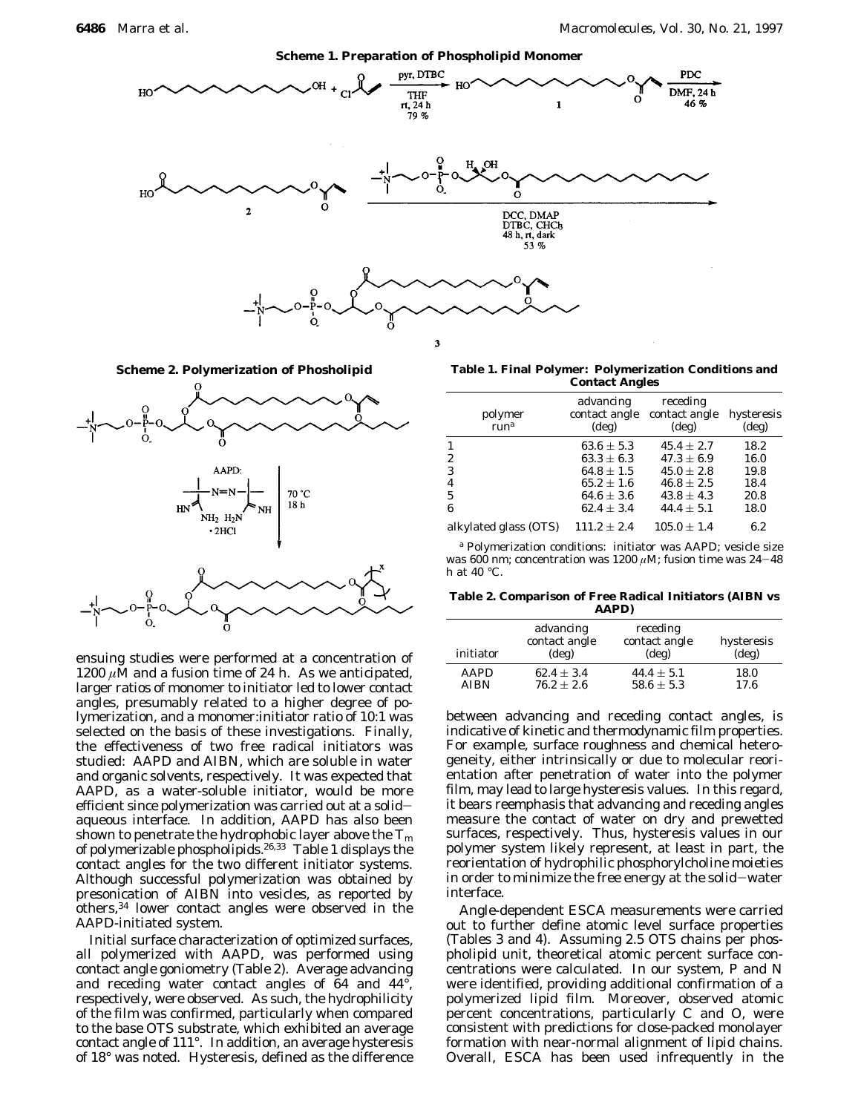



ensuing studies were performed at a concentration of 1200  $\mu$ M and a fusion time of 24 h. As we anticipated, larger ratios of monomer to initiator led to lower contact angles, presumably related to a higher degree of polymerization, and a monomer:initiator ratio of 10:1 was selected on the basis of these investigations. Finally, the effectiveness of two free radical initiators was studied: AAPD and AIBN, which are soluble in water and organic solvents, respectively. It was expected that AAPD, as a water-soluble initiator, would be more efficient since polymerization was carried out at a solidaqueous interface. In addition, AAPD has also been shown to penetrate the hydrophobic layer above the *T*<sup>m</sup> of polymerizable phospholipids.26,33 Table 1 displays the contact angles for the two different initiator systems. Although successful polymerization was obtained by presonication of AIBN into vesicles, as reported by others,34 lower contact angles were observed in the AAPD-initiated system.

Initial surface characterization of optimized surfaces, all polymerized with AAPD, was performed using contact angle goniometry (Table 2). Average advancing and receding water contact angles of 64 and 44°, respectively, were observed. As such, the hydrophilicity of the film was confirmed, particularly when compared to the base OTS substrate, which exhibited an average contact angle of 111°. In addition, an average hysteresis of 18° was noted. Hysteresis, defined as the difference

**Scheme 2. Polymerization of Phosholipid Table 1. Final Polymer: Polymerization Conditions and Contact Angles**

| polymer<br>run <sup>a</sup> | advancing<br>contact angle<br>$(\text{deg})$ | receding<br>contact angle<br>$(\deg)$ | hysteresis<br>$(\text{deg})$ |
|-----------------------------|----------------------------------------------|---------------------------------------|------------------------------|
|                             | $63.6 \pm 5.3$                               | $45.4 \pm 2.7$                        | 18.2                         |
| 2                           | $63.3 \pm 6.3$                               | $47.3 \pm 6.9$                        | 16.0                         |
| 3                           | $64.8 \pm 1.5$                               | $45.0 \pm 2.8$                        | 19.8                         |
| $\overline{4}$              | $65.2 \pm 1.6$                               | $46.8 \pm 2.5$                        | 18.4                         |
| -5                          | $64.6 \pm 3.6$                               | $43.8 \pm 4.3$                        | 20.8                         |
| 6                           | $62.4 \pm 3.4$                               | $44.4 \pm 5.1$                        | 18.0                         |
| alkylated glass (OTS)       | $111.2 \pm 2.4$                              | $105.0 \pm 1.4$                       | 6.2                          |

*<sup>a</sup>* Polymerization conditions: initiator was AAPD; vesicle size was 600 nm; concentration was 1200 *µ*M; fusion time was 24-48 h at 40 °C.

**Table 2. Comparison of Free Radical Initiators (AIBN vs AAPD)**

| initiator   | advancing<br>contact angle<br>$(\text{deg})$ | receding<br>contact angle<br>$(\text{deg})$ | hysteresis<br>$(\text{deg})$ |
|-------------|----------------------------------------------|---------------------------------------------|------------------------------|
| <b>AAPD</b> | $62.4 \pm 3.4$                               | $44.4 \pm 5.1$                              | 18.0                         |
| <b>AIBN</b> | $76.2 + 2.6$                                 | $58.6 \pm 5.3$                              | 17.6                         |

between advancing and receding contact angles, is indicative of kinetic and thermodynamic film properties. For example, surface roughness and chemical heterogeneity, either intrinsically or due to molecular reorientation after penetration of water into the polymer film, may lead to large hysteresis values. In this regard, it bears reemphasis that advancing and receding angles measure the contact of water on dry and prewetted surfaces, respectively. Thus, hysteresis values in our polymer system likely represent, at least in part, the reorientation of hydrophilic phosphorylcholine moieties in order to minimize the free energy at the solid-water interface.

Angle-dependent ESCA measurements were carried out to further define atomic level surface properties (Tables 3 and 4). Assuming 2.5 OTS chains per phospholipid unit, theoretical atomic percent surface concentrations were calculated. In our system, P and N were identified, providing additional confirmation of a polymerized lipid film. Moreover, observed atomic percent concentrations, particularly C and O, were consistent with predictions for close-packed monolayer formation with near-normal alignment of lipid chains. Overall, ESCA has been used infrequently in the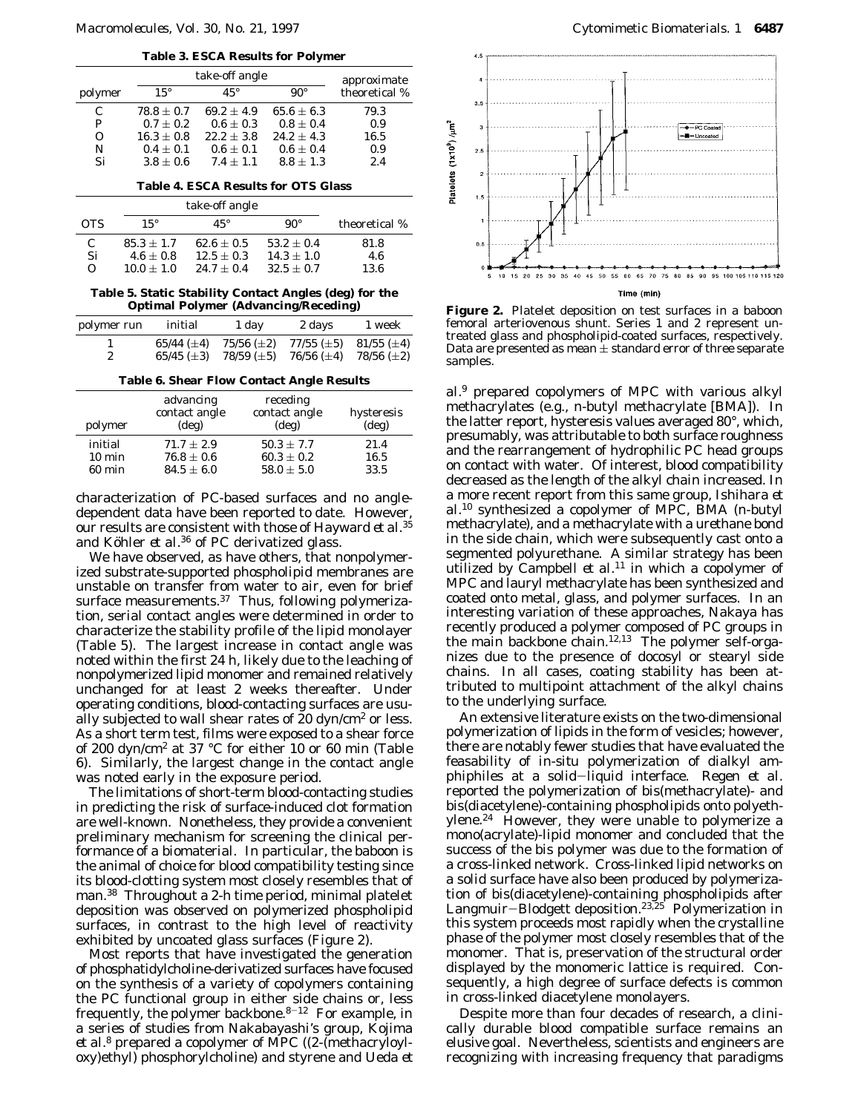**Table 3. ESCA Results for Polymer**

|                                            |                | take-off angle |                |                              |
|--------------------------------------------|----------------|----------------|----------------|------------------------------|
| polymer                                    | $15^{\circ}$   | $45^{\circ}$   | $90^{\circ}$   | approximate<br>theoretical % |
| C                                          | $78.8 \pm 0.7$ | $69.2 \pm 4.9$ | $65.6 \pm 6.3$ | 79.3                         |
| P                                          | $0.7 \pm 0.2$  | $0.6 \pm 0.3$  | $0.8 + 0.4$    | 0.9                          |
| 0                                          | $16.3 \pm 0.8$ | $22.2 \pm 3.8$ | $24.2 + 4.3$   | 16.5                         |
| N                                          | $0.4 \pm 0.1$  | $0.6 \pm 0.1$  | $0.6 \pm 0.4$  | 0.9                          |
| Si                                         | $3.8 \pm 0.6$  | $7.4 + 1.1$    | $8.8 \pm 1.3$  | 2.4                          |
| <b>Table 4. ESCA Results for OTS Glass</b> |                |                |                |                              |
| take-off angle                             |                |                |                |                              |
| <b>OTS</b>                                 | $15^{\circ}$   | $45^{\circ}$   | $90^{\circ}$   | theoretical %                |
| C                                          | $85.3 \pm 1.7$ | $62.6 \pm 0.5$ | $53.2 \pm 0.4$ | 81.8                         |
| Si                                         | $4.6 \pm 0.8$  | $12.5 \pm 0.3$ | $14.3 \pm 1.0$ | 4.6                          |
| О                                          | $10.0 \pm 1.0$ | $24.7\pm0.4$   | $32.5 \pm 0.7$ | 13.6                         |

**Table 5. Static Stability Contact Angles (deg) for the Optimal Polymer (Advancing/Receding)**

| polymer run | initial         | 1 day              | 2 days          | 1 week           |
|-------------|-----------------|--------------------|-----------------|------------------|
|             | 65/44 $(\pm 4)$ | $75/56 (\pm 2)$    | $77/55 (\pm 5)$ | 81/55 ( $\pm$ 4) |
| 2           | 65/45 $(\pm 3)$ | $78/59 \; (\pm 5)$ | 76/56 $(\pm 4)$ | $78/56 (\pm 2)$  |
|             |                 |                    |                 |                  |

**Table 6. Shear Flow Contact Angle Results**

| polymer          | advancing<br>contact angle<br>$(\text{deg})$ | receding<br>contact angle<br>$(\text{deg})$ | hysteresis<br>$(\text{deg})$ |
|------------------|----------------------------------------------|---------------------------------------------|------------------------------|
| initial          | $71.7 + 2.9$                                 | $50.3 + 7.7$                                | 21.4                         |
| $10 \text{ min}$ | $76.8 \pm 0.6$                               | $60.3 \pm 0.2$                              | 16.5                         |
| 60 min           | $84.5 \pm 6.0$                               | $58.0 \pm 5.0$                              | 33.5                         |

characterization of PC-based surfaces and no angledependent data have been reported to date. However, our results are consistent with those of Hayward *et al.*<sup>35</sup> and Köhler *et al.*<sup>36</sup> of PC derivatized glass.

We have observed, as have others, that nonpolymerized substrate-supported phospholipid membranes are unstable on transfer from water to air, even for brief surface measurements.<sup>37</sup> Thus, following polymerization, serial contact angles were determined in order to characterize the stability profile of the lipid monolayer (Table 5). The largest increase in contact angle was noted within the first 24 h, likely due to the leaching of nonpolymerized lipid monomer and remained relatively unchanged for at least 2 weeks thereafter. Under operating conditions, blood-contacting surfaces are usually subjected to wall shear rates of 20 dyn/cm2 or less. As a short term test, films were exposed to a shear force of 200 dyn/cm2 at 37 °C for either 10 or 60 min (Table 6). Similarly, the largest change in the contact angle was noted early in the exposure period.

The limitations of short-term blood-contacting studies in predicting the risk of surface-induced clot formation are well-known. Nonetheless, they provide a convenient preliminary mechanism for screening the clinical performance of a biomaterial. In particular, the baboon is the animal of choice for blood compatibility testing since its blood-clotting system most closely resembles that of man.<sup>38</sup> Throughout a 2-h time period, minimal platelet deposition was observed on polymerized phospholipid surfaces, in contrast to the high level of reactivity exhibited by uncoated glass surfaces (Figure 2).

Most reports that have investigated the generation of phosphatidylcholine-derivatized surfaces have focused on the synthesis of a variety of copolymers containing the PC functional group in either side chains or, less frequently, the polymer backbone. $8-12$  For example, in a series of studies from Nakabayashi's group, Kojima *et al.*<sup>8</sup> prepared a copolymer of MPC ((2-(methacryloyloxy)ethyl) phosphorylcholine) and styrene and Ueda *et*



**Figure 2.** Platelet deposition on test surfaces in a baboon femoral arteriovenous shunt. Series 1 and 2 represent untreated glass and phospholipid-coated surfaces, respectively. Data are presented as mean  $\pm$  standard error of three separate samples.

*al.*<sup>9</sup> prepared copolymers of MPC with various alkyl methacrylates (e.g., *n*-butyl methacrylate [BMA]). In the latter report, hysteresis values averaged 80°, which, presumably, was attributable to both surface roughness and the rearrangement of hydrophilic PC head groups on contact with water. Of interest, blood compatibility decreased as the length of the alkyl chain increased. In a more recent report from this same group, Ishihara *et al.*<sup>10</sup> synthesized a copolymer of MPC, BMA (*n-*butyl methacrylate), and a methacrylate with a urethane bond in the side chain, which were subsequently cast onto a segmented polyurethane. A similar strategy has been utilized by Campbell *et al.*<sup>11</sup> in which a copolymer of MPC and lauryl methacrylate has been synthesized and coated onto metal, glass, and polymer surfaces. In an interesting variation of these approaches, Nakaya has recently produced a polymer composed of PC groups in the main backbone chain.12,13 The polymer self-organizes due to the presence of docosyl or stearyl side chains. In all cases, coating stability has been attributed to multipoint attachment of the alkyl chains to the underlying surface.

An extensive literature exists on the two-dimensional polymerization of lipids in the form of vesicles; however, there are notably fewer studies that have evaluated the feasability of *in-situ* polymerization of dialkyl amphiphiles at a solid-liquid interface. Regen *et al.* reported the polymerization of bis(methacrylate)- and bis(diacetylene)-containing phospholipids onto polyethylene.24 However, they were unable to polymerize a mono(acrylate)-lipid monomer and concluded that the success of the bis polymer was due to the formation of a cross-linked network. Cross-linked lipid networks on a solid surface have also been produced by polymerization of bis(diacetylene)-containing phospholipids after Langmuir-Blodgett deposition.<sup>23,25</sup> Polymerization in this system proceeds most rapidly when the crystalline phase of the polymer most closely resembles that of the monomer. That is, preservation of the structural order displayed by the monomeric lattice is required. Consequently, a high degree of surface defects is common in cross-linked diacetylene monolayers.

Despite more than four decades of research, a clinically durable blood compatible surface remains an elusive goal. Nevertheless, scientists and engineers are recognizing with increasing frequency that paradigms